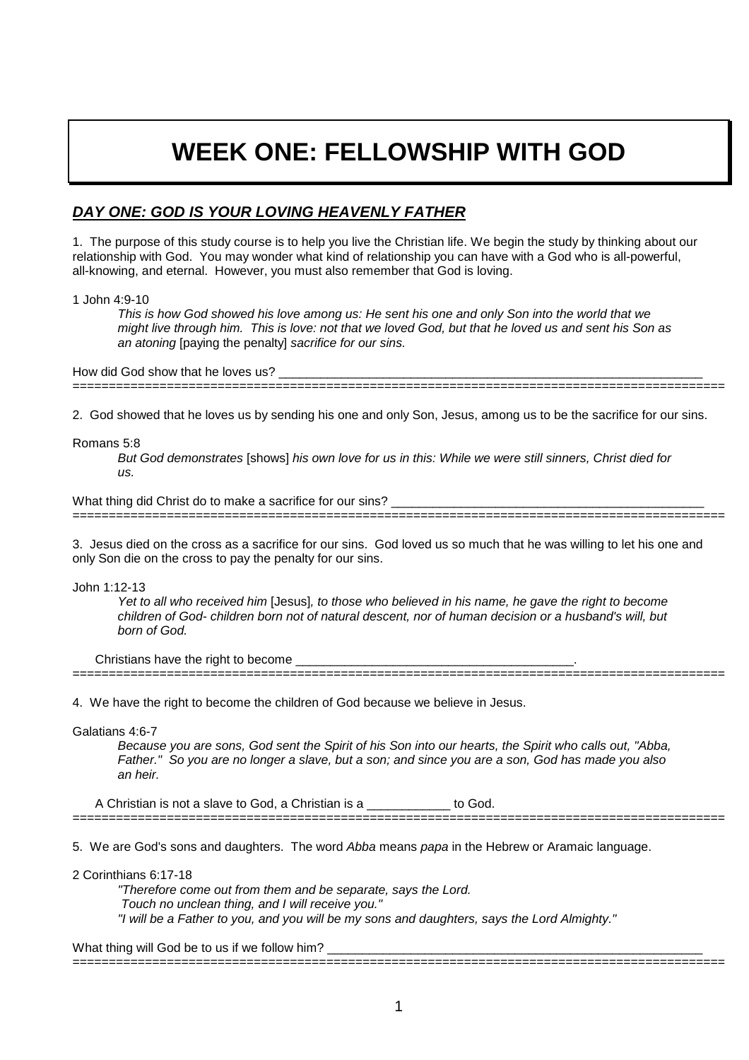# **WEEK ONE: FELLOWSHIP WITH GOD**

## **DAY ONE: GOD IS YOUR LOVING HEAVENLY FATHER**

1. The purpose of this study course is to help you live the Christian life. We begin the study by thinking about our relationship with God. You may wonder what kind of relationship you can have with a God who is all-powerful, all-knowing, and eternal. However, you must also remember that God is loving.

1 John 4:9-10

This is how God showed his love among us: He sent his one and only Son into the world that we might live through him. This is love: not that we loved God, but that he loved us and sent his Son as an atoning [paying the penalty] sacrifice for our sins.

How did God show that he loves us?

2. God showed that he loves us by sending his one and only Son, Jesus, among us to be the sacrifice for our sins.

==========================================================================================

==========================================================================================

### Romans 5:8

But God demonstrates [shows] his own love for us in this: While we were still sinners, Christ died for  $ILS$ 

What thing did Christ do to make a sacrifice for our sins?

3. Jesus died on the cross as a sacrifice for our sins. God loved us so much that he was willing to let his one and only Son die on the cross to pay the penalty for our sins.

John 1:12-13

Yet to all who received him [Jesus], to those who believed in his name, he gave the right to become children of God- children born not of natural descent, nor of human decision or a husband's will, but born of God.

Christians have the right to become

4. We have the right to become the children of God because we believe in Jesus.

==========================================================================================

Galatians 4:6-7

Because you are sons, God sent the Spirit of his Son into our hearts, the Spirit who calls out, "Abba, Father." So you are no longer a slave, but a son; and since you are a son, God has made you also an heir.

A Christian is not a slave to God, a Christian is a **compare to God.** ==========================================================================================

5. We are God's sons and daughters. The word Abba means papa in the Hebrew or Aramaic language.

2 Corinthians 6:17-18

"Therefore come out from them and be separate, says the Lord. Touch no unclean thing, and I will receive you." "I will be a Father to you, and you will be my sons and daughters, says the Lord Almighty."

What thing will God be to us if we follow him?

==========================================================================================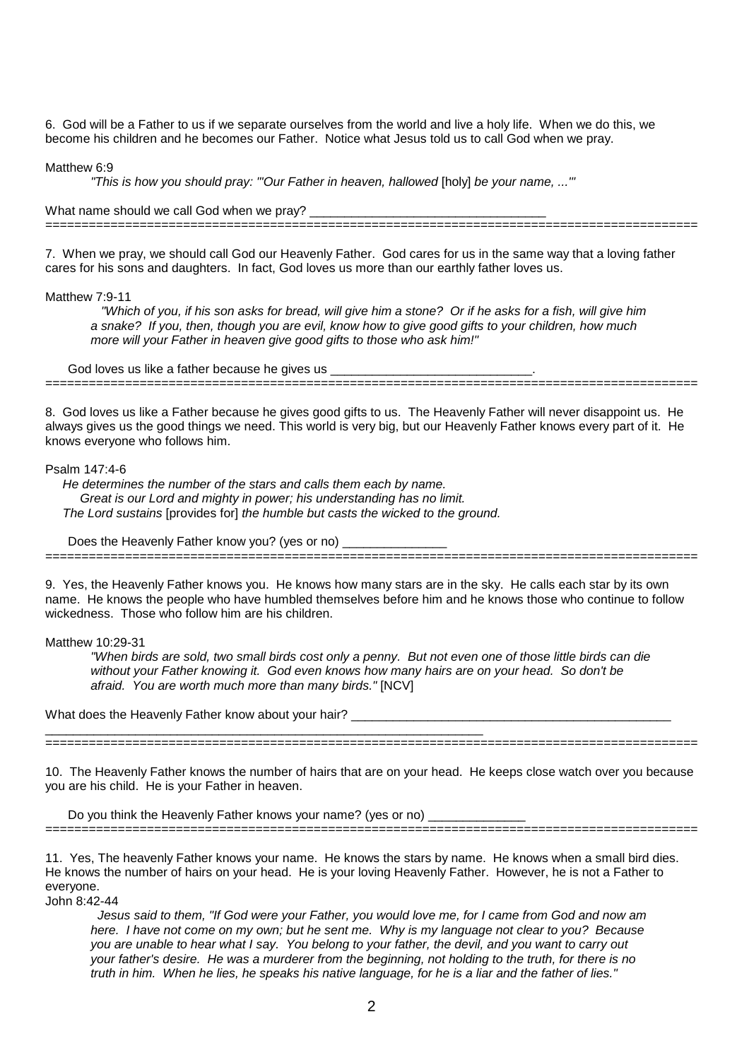6. God will be a Father to us if we separate ourselves from the world and live a holy life. When we do this, we become his children and he becomes our Father. Notice what Jesus told us to call God when we pray.

Matthew 6.9

"This is how you should pray: "'Our Father in heaven, hallowed [holy] be your name, ...'"

What name should we call God when we pray? ==========================================================================================

7. When we pray, we should call God our Heavenly Father. God cares for us in the same way that a loving father cares for his sons and daughters. In fact, God loves us more than our earthly father loves us.

#### Matthew 7:9-11

 "Which of you, if his son asks for bread, will give him a stone? Or if he asks for a fish, will give him a snake? If you, then, though you are evil, know how to give good gifts to your children, how much more will your Father in heaven give good gifts to those who ask him!"

God loves us like a father because he gives us \_\_\_\_\_\_\_\_\_\_\_\_\_\_\_\_\_\_\_\_\_\_\_\_\_\_\_\_\_.

==========================================================================================

8. God loves us like a Father because he gives good gifts to us. The Heavenly Father will never disappoint us. He always gives us the good things we need. This world is very big, but our Heavenly Father knows every part of it. He knows everyone who follows him.

#### Psalm 147:4-6

 He determines the number of the stars and calls them each by name. Great is our Lord and mighty in power; his understanding has no limit. The Lord sustains [provides for] the humble but casts the wicked to the ground.

Does the Heavenly Father know you? (yes or no) \_\_\_\_\_\_\_\_\_\_\_\_\_\_\_

9. Yes, the Heavenly Father knows you. He knows how many stars are in the sky. He calls each star by its own name. He knows the people who have humbled themselves before him and he knows those who continue to follow wickedness. Those who follow him are his children.

==========================================================================================

## Matthew 10:29-31

"When birds are sold, two small birds cost only a penny. But not even one of those little birds can die without your Father knowing it. God even knows how many hairs are on your head. So don't be afraid. You are worth much more than many birds." [NCV]

What does the Heavenly Father know about your hair? \_\_\_\_\_\_\_\_\_\_\_\_\_\_\_\_\_\_\_\_\_\_\_\_\_\_\_\_

==========================================================================================

10. The Heavenly Father knows the number of hairs that are on your head. He keeps close watch over you because you are his child. He is your Father in heaven.

Do you think the Heavenly Father knows your name? (yes or no) \_\_\_\_\_\_\_\_\_\_\_\_\_\_\_\_\_\_ ==========================================================================================

\_\_\_\_\_\_\_\_\_\_\_\_\_\_\_\_\_\_\_\_\_\_\_\_\_\_\_\_\_\_\_\_\_\_\_\_\_\_\_\_\_\_\_\_\_\_\_\_\_\_\_\_\_\_\_\_\_\_\_\_\_\_\_

11. Yes, The heavenly Father knows your name. He knows the stars by name. He knows when a small bird dies. He knows the number of hairs on your head. He is your loving Heavenly Father. However, he is not a Father to everyone.

John 8:42-44

 Jesus said to them, "If God were your Father, you would love me, for I came from God and now am here. I have not come on my own; but he sent me. Why is my language not clear to you? Because you are unable to hear what I say. You belong to your father, the devil, and you want to carry out your father's desire. He was a murderer from the beginning, not holding to the truth, for there is no truth in him. When he lies, he speaks his native language, for he is a liar and the father of lies."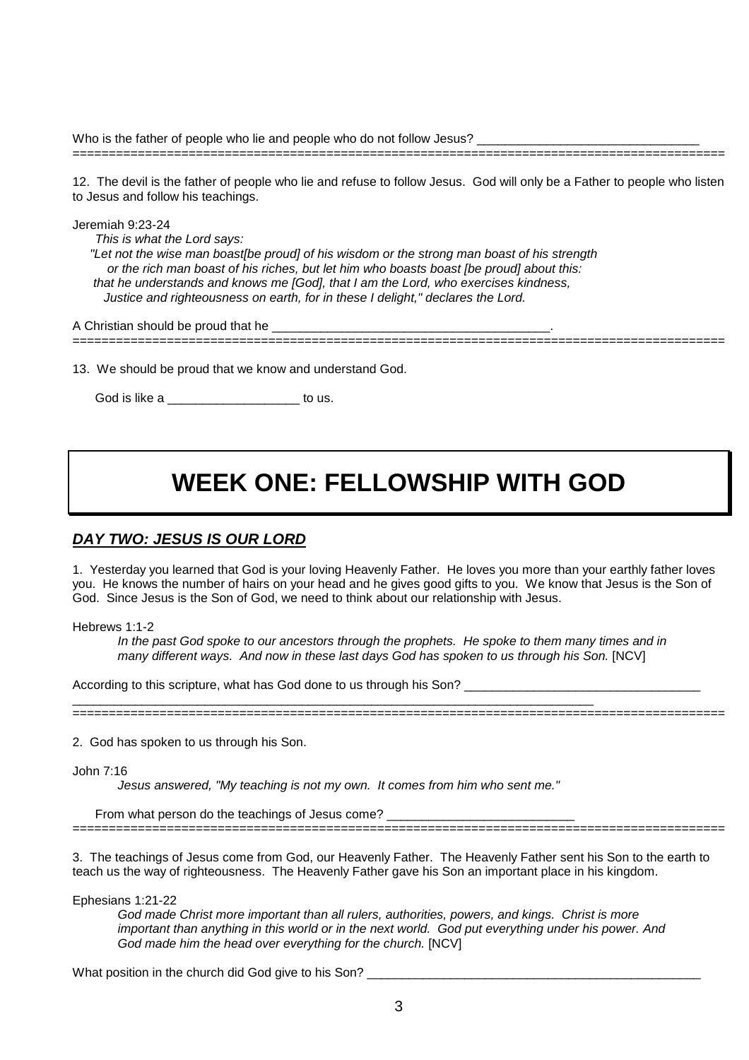Who is the father of people who lie and people who do not follow Jesus?

12. The devil is the father of people who lie and refuse to follow Jesus. God will only be a Father to people who listen to Jesus and follow his teachings.

Jeremiah 9:23-24 This is what the Lord says: "Let not the wise man boast[be proud] of his wisdom or the strong man boast of his strength or the rich man boast of his riches, but let him who boasts boast [be proud] about this: that he understands and knows me [God], that I am the Lord, who exercises kindness, Justice and righteousness on earth, for in these I delight," declares the Lord.

A Christian should be proud that he

13. We should be proud that we know and understand God.

==========================================================================================

==========================================================================================

God is like a zero to us.

## **WEEK ONE: FELLOWSHIP WITH GOD**

## **DAY TWO: JESUS IS OUR LORD**

1. Yesterday you learned that God is your loving Heavenly Father. He loves you more than your earthly father loves you. He knows the number of hairs on your head and he gives good gifts to you. We know that Jesus is the Son of God. Since Jesus is the Son of God, we need to think about our relationship with Jesus.

Hebrews 1:1-2

In the past God spoke to our ancestors through the prophets. He spoke to them many times and in many different ways. And now in these last days God has spoken to us through his Son. [NCV]

According to this scripture, what has God done to us through his Son?

==========================================================================================

2. God has spoken to us through his Son.

John 7:16

Jesus answered, "My teaching is not my own. It comes from him who sent me."

\_\_\_\_\_\_\_\_\_\_\_\_\_\_\_\_\_\_\_\_\_\_\_\_\_\_\_\_\_\_\_\_\_\_\_\_\_\_\_\_\_\_\_\_\_\_\_\_\_\_\_\_\_\_\_\_\_\_\_\_\_\_\_\_\_\_\_\_\_\_\_\_\_\_\_

From what person do the teachings of Jesus come? \_\_\_\_\_\_\_\_\_\_\_\_\_\_\_\_\_\_\_\_\_\_\_\_\_\_\_\_\_\_\_

3. The teachings of Jesus come from God, our Heavenly Father. The Heavenly Father sent his Son to the earth to teach us the way of righteousness. The Heavenly Father gave his Son an important place in his kingdom.

==========================================================================================

Ephesians 1:21-22

God made Christ more important than all rulers, authorities, powers, and kings. Christ is more important than anything in this world or in the next world. God put everything under his power. And God made him the head over everything for the church. [NCV]

What position in the church did God give to his Son?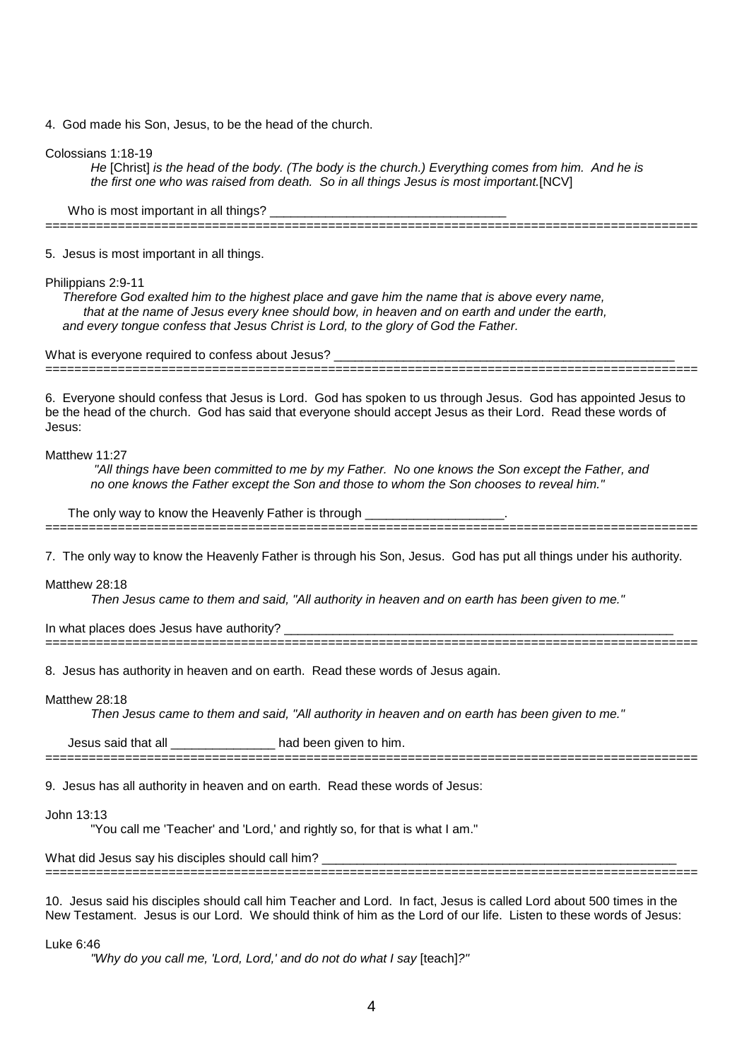4. God made his Son, Jesus, to be the head of the church.

Colossians 1:18-19

He [Christ] is the head of the body. (The body is the church.) Everything comes from him. And he is the first one who was raised from death. So in all things Jesus is most important.[NCV]

Who is most important in all things? \_\_\_\_\_\_\_\_\_\_\_\_\_\_\_\_\_\_\_\_\_\_\_\_\_\_\_\_\_\_\_\_\_\_

5. Jesus is most important in all things.

Philippians 2:9-11

Therefore God exalted him to the highest place and gave him the name that is above every name, that at the name of Jesus every knee should bow, in heaven and on earth and under the earth, and every tongue confess that Jesus Christ is Lord, to the glory of God the Father.

==========================================================================================

What is everyone required to confess about Jesus?

==========================================================================================

6. Everyone should confess that Jesus is Lord. God has spoken to us through Jesus. God has appointed Jesus to be the head of the church. God has said that everyone should accept Jesus as their Lord. Read these words of Jesus:

#### Matthew 11:27

 "All things have been committed to me by my Father. No one knows the Son except the Father, and no one knows the Father except the Son and those to whom the Son chooses to reveal him."

The only way to know the Heavenly Father is through

==========================================================================================

7. The only way to know the Heavenly Father is through his Son, Jesus. God has put all things under his authority.

Matthew 28:18

Then Jesus came to them and said, "All authority in heaven and on earth has been given to me."

==========================================================================================

In what places does Jesus have authority?

8. Jesus has authority in heaven and on earth. Read these words of Jesus again.

#### Matthew 28:18

Then Jesus came to them and said, "All authority in heaven and on earth has been given to me."

==========================================================================================

Jesus said that all \_\_\_\_\_\_\_\_\_\_\_\_\_\_\_ had been given to him.

9. Jesus has all authority in heaven and on earth. Read these words of Jesus:

John 13:13

"You call me 'Teacher' and 'Lord,' and rightly so, for that is what I am."

What did Jesus say his disciples should call him?

10. Jesus said his disciples should call him Teacher and Lord. In fact, Jesus is called Lord about 500 times in the New Testament. Jesus is our Lord. We should think of him as the Lord of our life. Listen to these words of Jesus:

==========================================================================================

### Luke 6:46

"Why do you call me, 'Lord, Lord,' and do not do what I say [teach]?"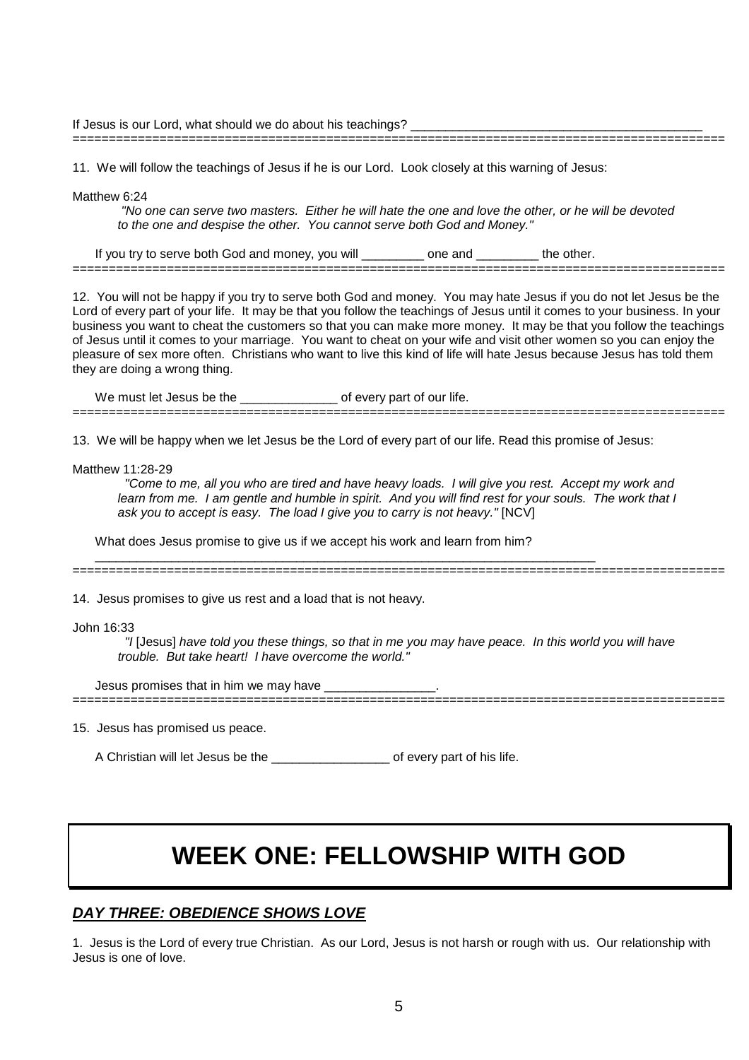If Jesus is our Lord, what should we do about his teachings?

11. We will follow the teachings of Jesus if he is our Lord. Look closely at this warning of Jesus:

Matthew 6:24

 "No one can serve two masters. Either he will hate the one and love the other, or he will be devoted to the one and despise the other. You cannot serve both God and Money."

==========================================================================================

If you try to serve both God and money, you will \_\_\_\_\_\_\_\_\_ one and \_\_\_\_\_\_\_\_\_ the other. ==========================================================================================

12. You will not be happy if you try to serve both God and money. You may hate Jesus if you do not let Jesus be the Lord of every part of your life. It may be that you follow the teachings of Jesus until it comes to your business. In your business you want to cheat the customers so that you can make more money. It may be that you follow the teachings of Jesus until it comes to your marriage. You want to cheat on your wife and visit other women so you can enjoy the pleasure of sex more often. Christians who want to live this kind of life will hate Jesus because Jesus has told them they are doing a wrong thing.

We must let Jesus be the \_\_\_\_\_\_\_\_\_\_\_\_\_\_\_\_\_ of every part of our life. ==========================================================================================

13. We will be happy when we let Jesus be the Lord of every part of our life. Read this promise of Jesus:

Matthew 11:28-29

 "Come to me, all you who are tired and have heavy loads. I will give you rest. Accept my work and learn from me. I am gentle and humble in spirit. And you will find rest for your souls. The work that I ask you to accept is easy. The load I give you to carry is not heavy." [NCV]

What does Jesus promise to give us if we accept his work and learn from him?

 $\_$  , and the set of the set of the set of the set of the set of the set of the set of the set of the set of the set of the set of the set of the set of the set of the set of the set of the set of the set of the set of th

14. Jesus promises to give us rest and a load that is not heavy.

==========================================================================================

John 16:33

 "I [Jesus] have told you these things, so that in me you may have peace. In this world you will have trouble. But take heart! I have overcome the world."

==========================================================================================

Jesus promises that in him we may have

15. Jesus has promised us peace.

A Christian will let Jesus be the \_\_\_\_\_\_\_\_\_\_\_\_\_\_\_\_\_ of every part of his life.

## **WEEK ONE: FELLOWSHIP WITH GOD**

## **DAY THREE: OBEDIENCE SHOWS LOVE**

1. Jesus is the Lord of every true Christian. As our Lord, Jesus is not harsh or rough with us. Our relationship with Jesus is one of love.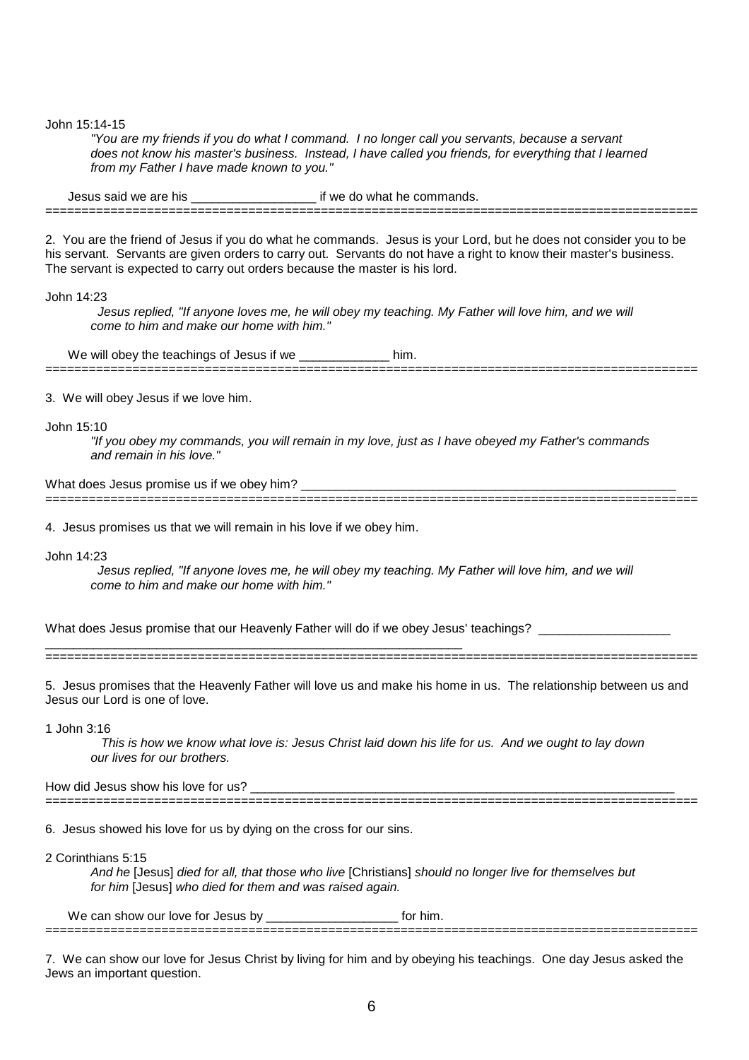John 15:14-15

"You are my friends if you do what I command. I no longer call you servants, because a servant does not know his master's business. Instead, I have called you friends, for everything that I learned from my Father I have made known to you."

Jesus said we are his \_\_\_\_\_\_\_\_\_\_\_\_\_\_\_\_\_\_\_\_\_\_\_ if we do what he commands. ==========================================================================================

2. You are the friend of Jesus if you do what he commands. Jesus is your Lord, but he does not consider you to be his servant. Servants are given orders to carry out. Servants do not have a right to know their master's business. The servant is expected to carry out orders because the master is his lord.

John 14:23

 Jesus replied, "If anyone loves me, he will obey my teaching. My Father will love him, and we will come to him and make our home with him."

We will obey the teachings of Jesus if we \_\_\_\_\_\_\_\_\_\_\_\_\_\_\_\_ him. ==========================================================================================

3. We will obey Jesus if we love him.

John 15:10

"If you obey my commands, you will remain in my love, just as I have obeyed my Father's commands and remain in his love."

==========================================================================================

What does Jesus promise us if we obey him? \_\_\_\_\_\_\_\_\_\_\_\_\_\_\_\_\_\_\_\_\_\_\_\_\_\_\_\_\_\_\_\_\_\_\_\_\_\_\_\_\_\_\_\_\_\_\_\_\_\_\_\_\_\_

4. Jesus promises us that we will remain in his love if we obey him.

\_\_\_\_\_\_\_\_\_\_\_\_\_\_\_\_\_\_\_\_\_\_\_\_\_\_\_\_\_\_\_\_\_\_\_\_\_\_\_\_\_\_\_\_\_\_\_\_\_\_\_\_\_\_\_\_\_\_\_\_

John 14:23

 Jesus replied, "If anyone loves me, he will obey my teaching. My Father will love him, and we will come to him and make our home with him."

What does Jesus promise that our Heavenly Father will do if we obey Jesus' teachings?

==========================================================================================

5. Jesus promises that the Heavenly Father will love us and make his home in us. The relationship between us and Jesus our Lord is one of love.

1 John 3:16

 This is how we know what love is: Jesus Christ laid down his life for us. And we ought to lay down our lives for our brothers.

How did Jesus show his love for us? ==========================================================================================

6. Jesus showed his love for us by dying on the cross for our sins.

2 Corinthians 5:15

And he [Jesus] died for all, that those who live [Christians] should no longer live for themselves but for him [Jesus] who died for them and was raised again.

We can show our love for Jesus by \_\_\_\_\_\_\_\_\_\_\_\_\_\_\_\_\_\_\_\_\_\_\_\_\_\_ for him. ==========================================================================================

7. We can show our love for Jesus Christ by living for him and by obeying his teachings. One day Jesus asked the Jews an important question.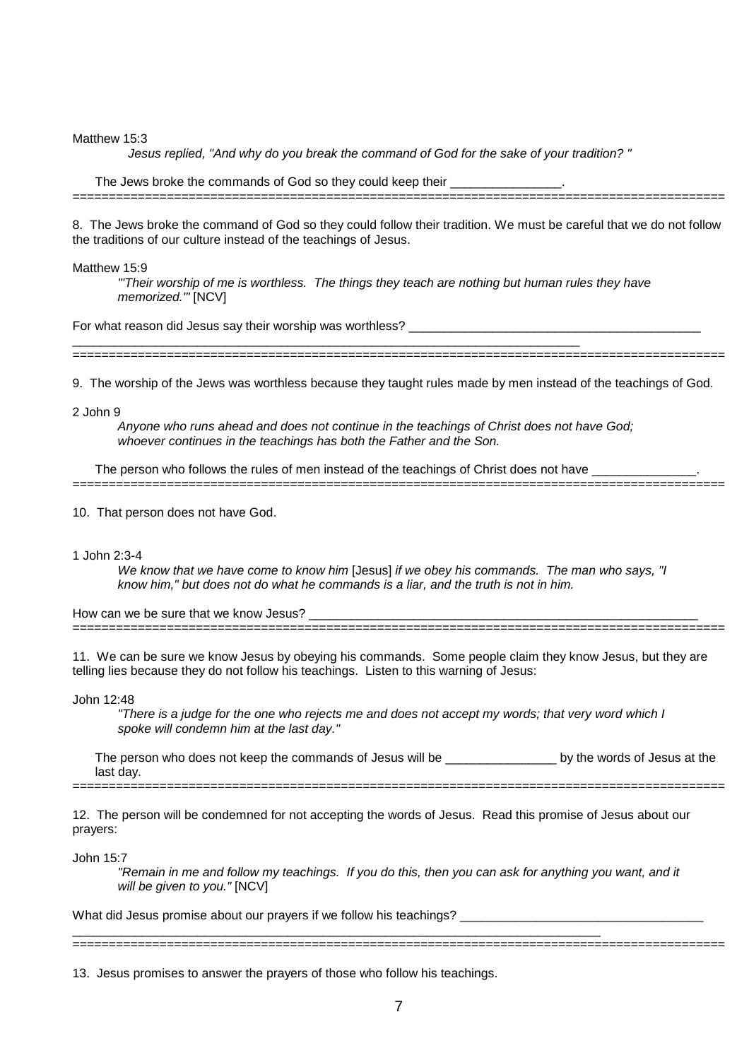Matthew 15:3

Jesus replied, "And why do you break the command of God for the sake of your tradition? "

The Jews broke the commands of God so they could keep their  $\frac{1}{\sqrt{1-\frac{1}{2}}\sqrt{1-\frac{1}{2}}\cos\theta}$ 

8. The Jews broke the command of God so they could follow their tradition. We must be careful that we do not follow the traditions of our culture instead of the teachings of Jesus.

==========================================================================================

#### Matthew 15:9

"'Their worship of me is worthless. The things they teach are nothing but human rules they have memorized.'" [NCV]

For what reason did Jesus say their worship was worthless?

========================================================================================== 9. The worship of the Jews was worthless because they taught rules made by men instead of the teachings of God.

2 John 9

Anyone who runs ahead and does not continue in the teachings of Christ does not have God; whoever continues in the teachings has both the Father and the Son.

The person who follows the rules of men instead of the teachings of Christ does not have ==========================================================================================

 $\_$  , and the set of the set of the set of the set of the set of the set of the set of the set of the set of the set of the set of the set of the set of the set of the set of the set of the set of the set of the set of th

10. That person does not have God.

### 1 John 2:3-4

We know that we have come to know him [Jesus] if we obey his commands. The man who says, "I know him," but does not do what he commands is a liar, and the truth is not in him.

How can we be sure that we know Jesus? ==========================================================================================

11. We can be sure we know Jesus by obeying his commands. Some people claim they know Jesus, but they are telling lies because they do not follow his teachings. Listen to this warning of Jesus:

### John 12:48

"There is a judge for the one who rejects me and does not accept my words; that very word which I spoke will condemn him at the last day."

The person who does not keep the commands of Jesus will be example and by the words of Jesus at the last day. ==========================================================================================

12. The person will be condemned for not accepting the words of Jesus. Read this promise of Jesus about our prayers:

John 15:7

"Remain in me and follow my teachings. If you do this, then you can ask for anything you want, and it will be given to you." [NCV]

What did Jesus promise about our prayers if we follow his teachings? \_\_\_\_\_\_\_\_\_\_\_

13. Jesus promises to answer the prayers of those who follow his teachings.

\_\_\_\_\_\_\_\_\_\_\_\_\_\_\_\_\_\_\_\_\_\_\_\_\_\_\_\_\_\_\_\_\_\_\_\_\_\_\_\_\_\_\_\_\_\_\_\_\_\_\_\_\_\_\_\_\_\_\_\_\_\_\_\_\_\_\_\_\_\_\_\_\_\_\_\_ ==========================================================================================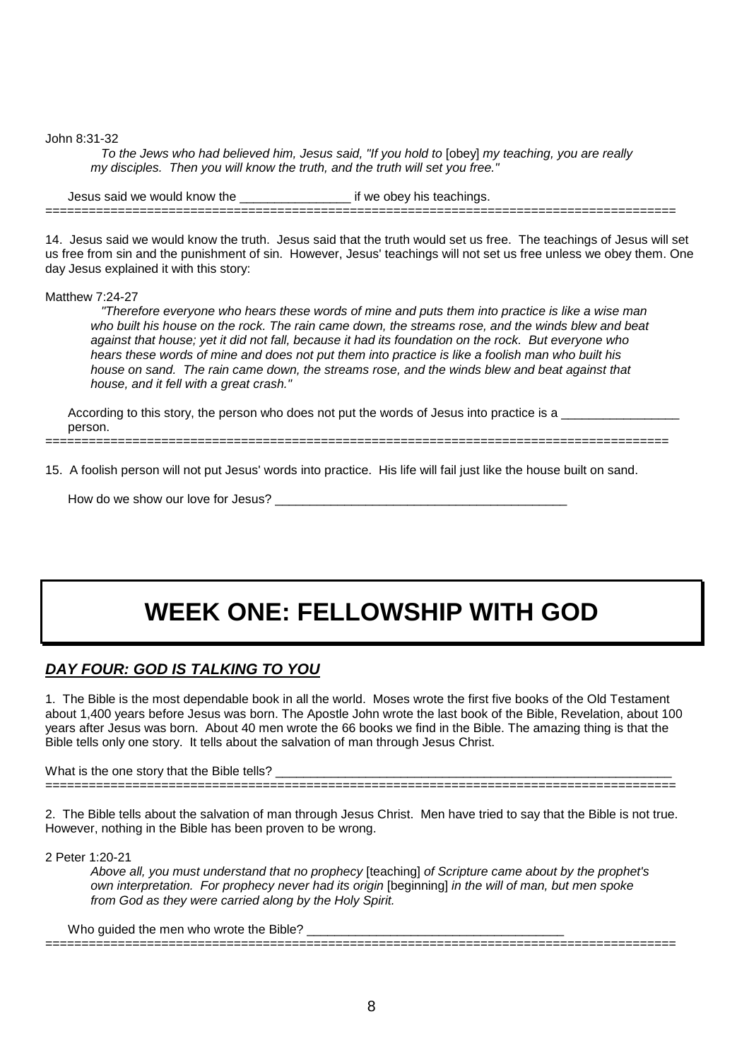John 8:31-32

 To the Jews who had believed him, Jesus said, "If you hold to [obey] my teaching, you are really my disciples. Then you will know the truth, and the truth will set you free."

Jesus said we would know the \_\_\_\_\_\_\_\_\_\_\_\_\_\_\_\_ if we obey his teachings. =======================================================================================

14. Jesus said we would know the truth. Jesus said that the truth would set us free. The teachings of Jesus will set us free from sin and the punishment of sin. However, Jesus' teachings will not set us free unless we obey them. One day Jesus explained it with this story:

### Matthew 7:24-27

 "Therefore everyone who hears these words of mine and puts them into practice is like a wise man who built his house on the rock. The rain came down, the streams rose, and the winds blew and beat against that house; yet it did not fall, because it had its foundation on the rock. But everyone who hears these words of mine and does not put them into practice is like a foolish man who built his house on sand. The rain came down, the streams rose, and the winds blew and beat against that house, and it fell with a great crash."

According to this story, the person who does not put the words of Jesus into practice is a person.

15. A foolish person will not put Jesus' words into practice. His life will fail just like the house built on sand.

======================================================================================

How do we show our love for Jesus? \_\_\_\_\_\_\_\_\_\_\_\_\_\_\_\_\_\_\_\_\_\_\_\_\_\_\_\_\_\_\_\_\_\_\_\_\_\_\_\_\_\_

## **WEEK ONE: FELLOWSHIP WITH GOD**

## **DAY FOUR: GOD IS TALKING TO YOU**

1. The Bible is the most dependable book in all the world. Moses wrote the first five books of the Old Testament about 1,400 years before Jesus was born. The Apostle John wrote the last book of the Bible, Revelation, about 100 years after Jesus was born. About 40 men wrote the 66 books we find in the Bible. The amazing thing is that the Bible tells only one story. It tells about the salvation of man through Jesus Christ.

What is the one story that the Bible tells? =======================================================================================

2. The Bible tells about the salvation of man through Jesus Christ. Men have tried to say that the Bible is not true. However, nothing in the Bible has been proven to be wrong.

2 Peter 1:20-21

Above all, you must understand that no prophecy [teaching] of Scripture came about by the prophet's own interpretation. For prophecy never had its origin [beginning] in the will of man, but men spoke from God as they were carried along by the Holy Spirit.

=======================================================================================

Who guided the men who wrote the Bible? \_\_\_\_\_\_\_\_\_\_\_\_\_\_\_\_\_\_\_\_\_\_\_\_\_\_\_\_\_\_\_\_\_\_\_\_\_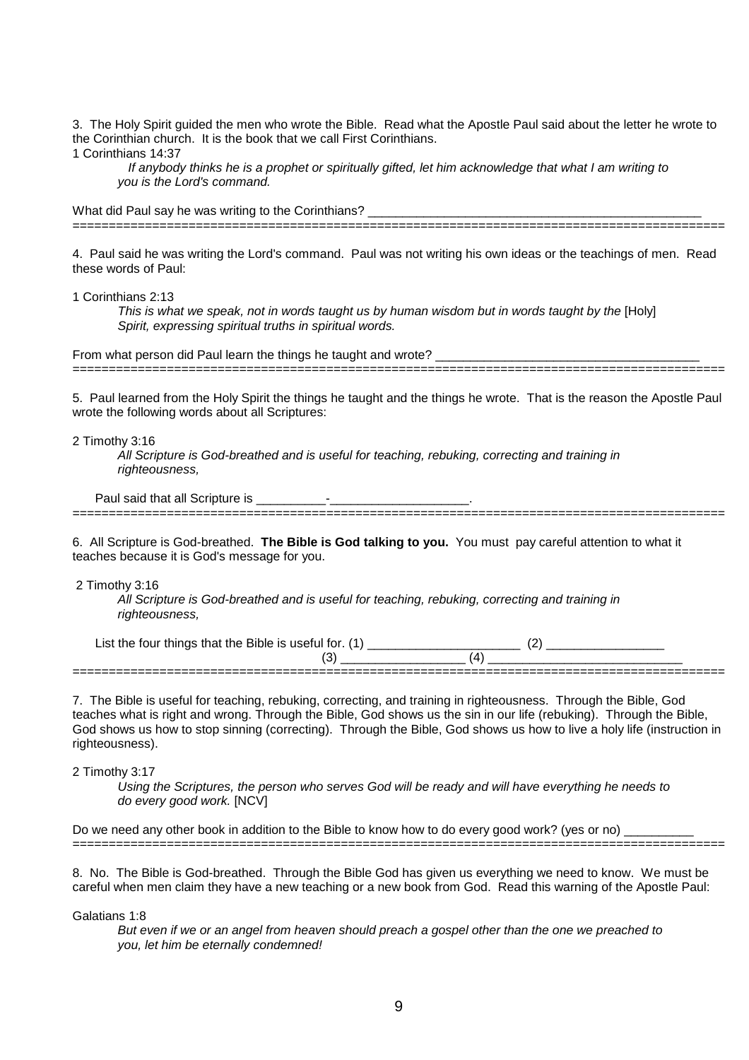3. The Holy Spirit guided the men who wrote the Bible. Read what the Apostle Paul said about the letter he wrote to the Corinthian church. It is the book that we call First Corinthians. 1 Corinthians 14:37

 If anybody thinks he is a prophet or spiritually gifted, let him acknowledge that what I am writing to you is the Lord's command.

What did Paul say he was writing to the Corinthians? \_\_\_\_\_\_\_\_\_\_\_\_\_\_\_\_\_\_\_\_\_\_\_\_\_\_\_\_ ==========================================================================================

4. Paul said he was writing the Lord's command. Paul was not writing his own ideas or the teachings of men. Read these words of Paul:

1 Corinthians 2:13

This is what we speak, not in words taught us by human wisdom but in words taught by the [Holy] Spirit, expressing spiritual truths in spiritual words.

From what person did Paul learn the things he taught and wrote? \_\_\_\_\_\_\_\_\_\_\_\_\_\_\_\_\_\_\_\_\_\_\_\_\_\_\_\_\_\_\_\_\_\_\_\_\_\_

5. Paul learned from the Holy Spirit the things he taught and the things he wrote. That is the reason the Apostle Paul wrote the following words about all Scriptures:

==========================================================================================

2 Timothy 3:16

All Scripture is God-breathed and is useful for teaching, rebuking, correcting and training in righteousness,

Paul said that all Scripture is \_\_\_\_\_\_\_\_\_\_-\_\_\_\_\_\_\_\_\_\_\_\_\_\_\_\_\_\_\_\_. ==========================================================================================

6. All Scripture is God-breathed. **The Bible is God talking to you.** You must pay careful attention to what it teaches because it is God's message for you.

2 Timothy 3:16

All Scripture is God-breathed and is useful for teaching, rebuking, correcting and training in righteousness,

List the four things that the Bible is useful for. (1) \_\_\_\_\_\_\_\_\_\_\_\_\_\_\_\_\_\_\_\_\_\_ (2) \_\_\_\_\_\_\_\_\_\_\_\_\_\_\_\_\_ (3) \_\_\_\_\_\_\_\_\_\_\_\_\_\_\_\_\_\_ (4) \_\_\_\_\_\_\_\_\_\_\_\_\_\_\_\_\_\_\_\_\_\_\_\_\_\_\_\_ ==========================================================================================

7. The Bible is useful for teaching, rebuking, correcting, and training in righteousness. Through the Bible, God teaches what is right and wrong. Through the Bible, God shows us the sin in our life (rebuking). Through the Bible, God shows us how to stop sinning (correcting). Through the Bible, God shows us how to live a holy life (instruction in righteousness).

2 Timothy 3:17

Using the Scriptures, the person who serves God will be ready and will have everything he needs to do every good work. [NCV]

Do we need any other book in addition to the Bible to know how to do every good work? (yes or no) \_\_\_\_\_\_\_\_\_\_\_\_ ==========================================================================================

8. No. The Bible is God-breathed. Through the Bible God has given us everything we need to know. We must be careful when men claim they have a new teaching or a new book from God. Read this warning of the Apostle Paul:

Galatians 1:8

But even if we or an angel from heaven should preach a gospel other than the one we preached to you, let him be eternally condemned!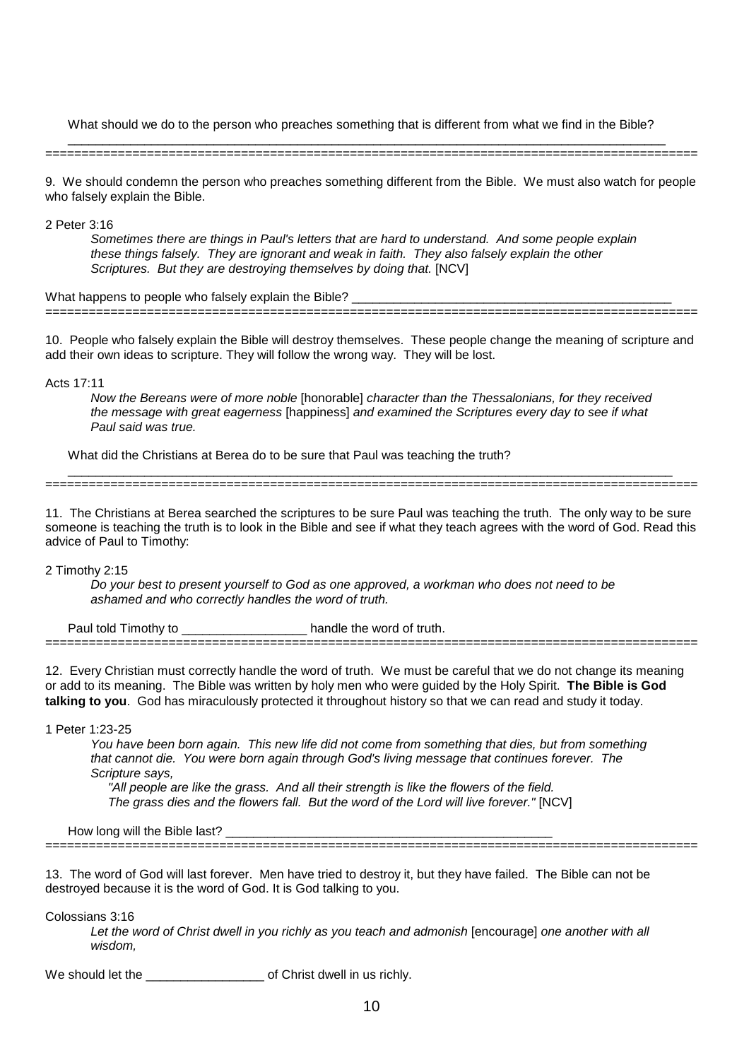What should we do to the person who preaches something that is different from what we find in the Bible?

\_\_\_\_\_\_\_\_\_\_\_\_\_\_\_\_\_\_\_\_\_\_\_\_\_\_\_\_\_\_\_\_\_\_\_\_\_\_\_\_\_\_\_\_\_\_\_\_\_\_\_\_\_\_\_\_\_\_\_\_\_\_\_\_\_\_\_\_\_\_\_\_\_\_\_\_\_\_\_\_\_\_\_\_\_\_ ==========================================================================================

9. We should condemn the person who preaches something different from the Bible. We must also watch for people who falsely explain the Bible.

2 Peter 3:16

Sometimes there are things in Paul's letters that are hard to understand. And some people explain these things falsely. They are ignorant and weak in faith. They also falsely explain the other Scriptures. But they are destroying themselves by doing that. [NCV]

What happens to people who falsely explain the Bible? ==========================================================================================

10. People who falsely explain the Bible will destroy themselves. These people change the meaning of scripture and add their own ideas to scripture. They will follow the wrong way. They will be lost.

Acts 17:11

Now the Bereans were of more noble [honorable] character than the Thessalonians, for they received the message with great eagerness [happiness] and examined the Scriptures every day to see if what Paul said was true.

What did the Christians at Berea do to be sure that Paul was teaching the truth?

\_\_\_\_\_\_\_\_\_\_\_\_\_\_\_\_\_\_\_\_\_\_\_\_\_\_\_\_\_\_\_\_\_\_\_\_\_\_\_\_\_\_\_\_\_\_\_\_\_\_\_\_\_\_\_\_\_\_\_\_\_\_\_\_\_\_\_\_\_\_\_\_\_\_\_\_\_\_\_\_\_\_\_\_\_\_\_ ==========================================================================================

11. The Christians at Berea searched the scriptures to be sure Paul was teaching the truth. The only way to be sure someone is teaching the truth is to look in the Bible and see if what they teach agrees with the word of God. Read this advice of Paul to Timothy:

2 Timothy 2:15

Do your best to present yourself to God as one approved, a workman who does not need to be ashamed and who correctly handles the word of truth.

Paul told Timothy to \_\_\_\_\_\_\_\_\_\_\_\_\_\_\_\_\_\_\_\_\_\_ handle the word of truth.

12. Every Christian must correctly handle the word of truth. We must be careful that we do not change its meaning or add to its meaning. The Bible was written by holy men who were guided by the Holy Spirit. **The Bible is God talking to you**. God has miraculously protected it throughout history so that we can read and study it today.

==========================================================================================

1 Peter 1:23-25

You have been born again. This new life did not come from something that dies, but from something that cannot die. You were born again through God's living message that continues forever. The Scripture says,

 "All people are like the grass. And all their strength is like the flowers of the field. The grass dies and the flowers fall. But the word of the Lord will live forever." [NCV]

==========================================================================================

How long will the Bible last?

13. The word of God will last forever. Men have tried to destroy it, but they have failed. The Bible can not be destroyed because it is the word of God. It is God talking to you.

Colossians 3:16

Let the word of Christ dwell in you richly as you teach and admonish [encourage] one another with all wisdom,

We should let the **We should let the state of Christ dwell in us richly.**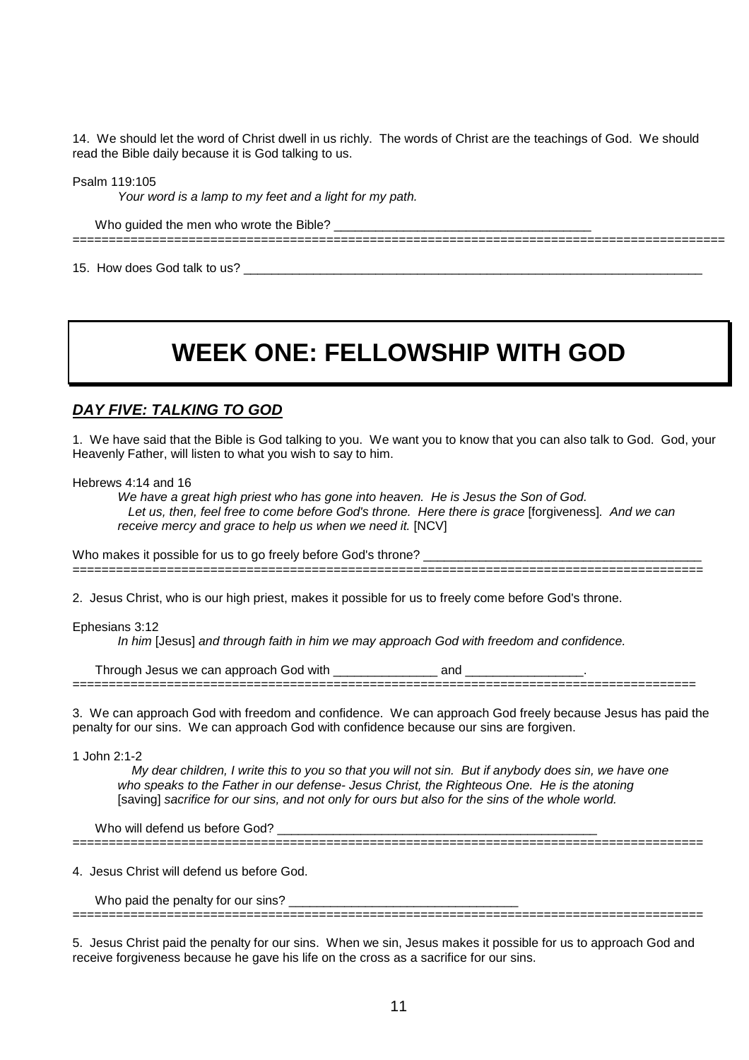14. We should let the word of Christ dwell in us richly. The words of Christ are the teachings of God. We should read the Bible daily because it is God talking to us.

Psalm 119:105

Your word is a lamp to my feet and a light for my path.

Who guided the men who wrote the Bible? ==========================================================================================

15. How does God talk to us?

## **WEEK ONE: FELLOWSHIP WITH GOD**

## **DAY FIVE: TALKING TO GOD**

1. We have said that the Bible is God talking to you. We want you to know that you can also talk to God. God, your Heavenly Father, will listen to what you wish to say to him.

Hebrews 4:14 and 16

We have a great high priest who has gone into heaven. He is Jesus the Son of God. Let us, then, feel free to come before God's throne. Here there is grace [forgiveness]. And we can receive mercy and grace to help us when we need it. [NCV]

Who makes it possible for us to go freely before God's throne? \_\_\_\_ =======================================================================================

2. Jesus Christ, who is our high priest, makes it possible for us to freely come before God's throne.

Ephesians 3:12

In him [Jesus] and through faith in him we may approach God with freedom and confidence.

| we<br>$\cdots$ |  |
|----------------|--|
| -----          |  |

3. We can approach God with freedom and confidence. We can approach God freely because Jesus has paid the penalty for our sins. We can approach God with confidence because our sins are forgiven.

1 John 2:1-2

 My dear children, I write this to you so that you will not sin. But if anybody does sin, we have one who speaks to the Father in our defense- Jesus Christ, the Righteous One. He is the atoning [saving] sacrifice for our sins, and not only for ours but also for the sins of the whole world.

=======================================================================================

Who will defend us before God? \_\_\_\_\_\_\_\_\_\_\_\_\_\_\_\_\_\_\_\_\_\_\_\_\_\_\_\_\_\_\_\_\_\_\_\_\_\_\_\_\_\_\_\_\_\_

4. Jesus Christ will defend us before God.

Who paid the penalty for our sins?

5. Jesus Christ paid the penalty for our sins. When we sin, Jesus makes it possible for us to approach God and receive forgiveness because he gave his life on the cross as a sacrifice for our sins.

=======================================================================================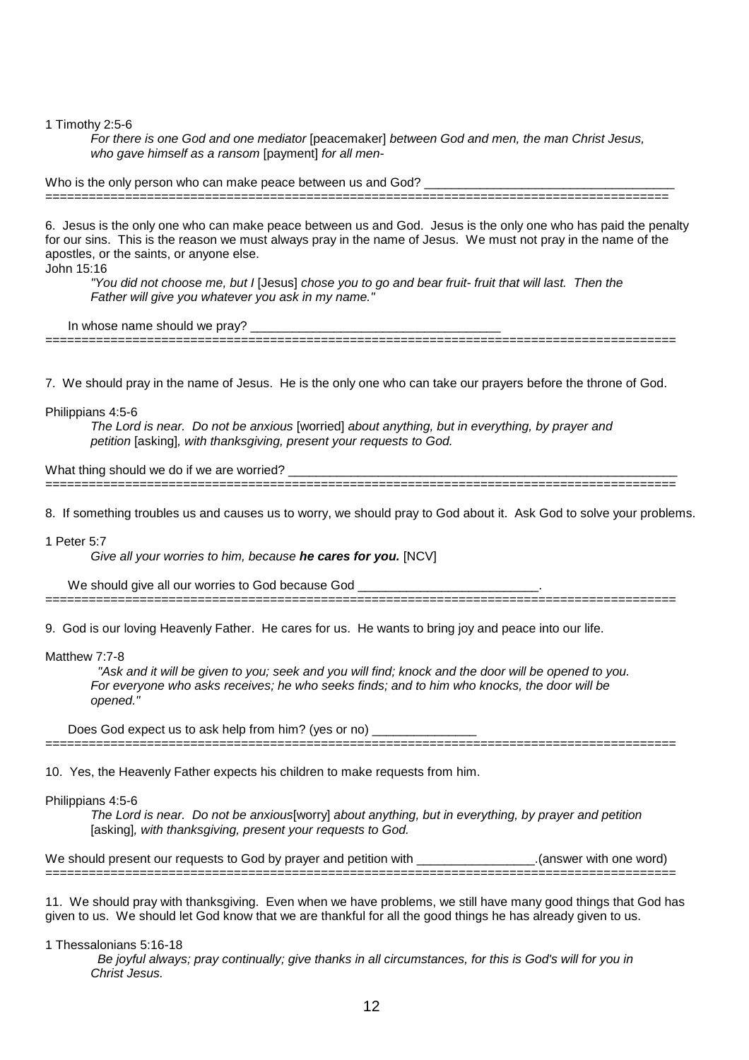1 Timothy 2:5-6

For there is one God and one mediator [peacemaker] between God and men, the man Christ Jesus, who gave himself as a ransom [payment] for all men-

Who is the only person who can make peace between us and God?

6. Jesus is the only one who can make peace between us and God. Jesus is the only one who has paid the penalty for our sins. This is the reason we must always pray in the name of Jesus. We must not pray in the name of the apostles, or the saints, or anyone else.

======================================================================================

John 15:16

"You did not choose me, but I [Jesus] chose you to go and bear fruit- fruit that will last. Then the Father will give you whatever you ask in my name."

In whose name should we pray?

7. We should pray in the name of Jesus. He is the only one who can take our prayers before the throne of God.

=======================================================================================

Philippians 4:5-6

The Lord is near. Do not be anxious [worried] about anything, but in everything, by prayer and petition [asking], with thanksgiving, present your requests to God.

What thing should we do if we are worried?

=======================================================================================

8. If something troubles us and causes us to worry, we should pray to God about it. Ask God to solve your problems.

1 Peter 5:7

Give all your worries to him, because **he cares for you.** [NCV]

We should give all our worries to God because God =======================================================================================

9. God is our loving Heavenly Father. He cares for us. He wants to bring joy and peace into our life.

Matthew 7:7-8

 "Ask and it will be given to you; seek and you will find; knock and the door will be opened to you. For everyone who asks receives; he who seeks finds; and to him who knocks, the door will be opened."

Does God expect us to ask help from him? (yes or no) \_\_\_\_\_\_\_\_\_\_\_\_\_\_\_\_\_\_\_\_\_\_\_\_\_\_\_

=======================================================================================

10. Yes, the Heavenly Father expects his children to make requests from him.

Philippians 4:5-6

The Lord is near. Do not be anxious[worry] about anything, but in everything, by prayer and petition [asking], with thanksgiving, present your requests to God.

We should present our requests to God by prayer and petition with \_\_\_\_\_\_\_\_\_\_\_\_\_\_\_.(answer with one word) =======================================================================================

11. We should pray with thanksgiving. Even when we have problems, we still have many good things that God has given to us. We should let God know that we are thankful for all the good things he has already given to us.

1 Thessalonians 5:16-18

 Be joyful always; pray continually; give thanks in all circumstances, for this is God's will for you in Christ Jesus.